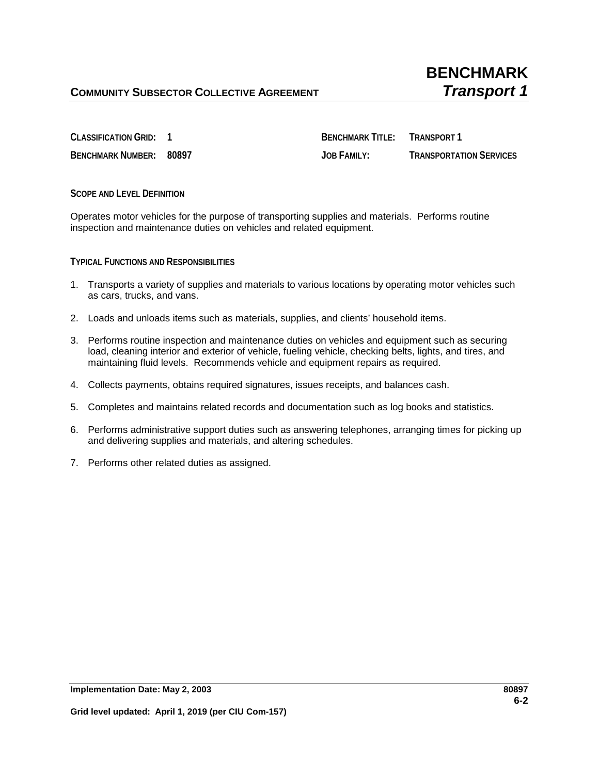**CLASSIFICATION GRID: 1 BENCHMARK TITLE: TRANSPORT 1 BENCHMARK NUMBER: 80897 JOB FAMILY: TRANSPORTATION SERVICES**

**SCOPE AND LEVEL DEFINITION**

Operates motor vehicles for the purpose of transporting supplies and materials. Performs routine inspection and maintenance duties on vehicles and related equipment.

**TYPICAL FUNCTIONS AND RESPONSIBILITIES**

- 1. Transports a variety of supplies and materials to various locations by operating motor vehicles such as cars, trucks, and vans.
- 2. Loads and unloads items such as materials, supplies, and clients' household items.
- 3. Performs routine inspection and maintenance duties on vehicles and equipment such as securing load, cleaning interior and exterior of vehicle, fueling vehicle, checking belts, lights, and tires, and maintaining fluid levels. Recommends vehicle and equipment repairs as required.
- 4. Collects payments, obtains required signatures, issues receipts, and balances cash.
- 5. Completes and maintains related records and documentation such as log books and statistics.
- 6. Performs administrative support duties such as answering telephones, arranging times for picking up and delivering supplies and materials, and altering schedules.
- 7. Performs other related duties as assigned.